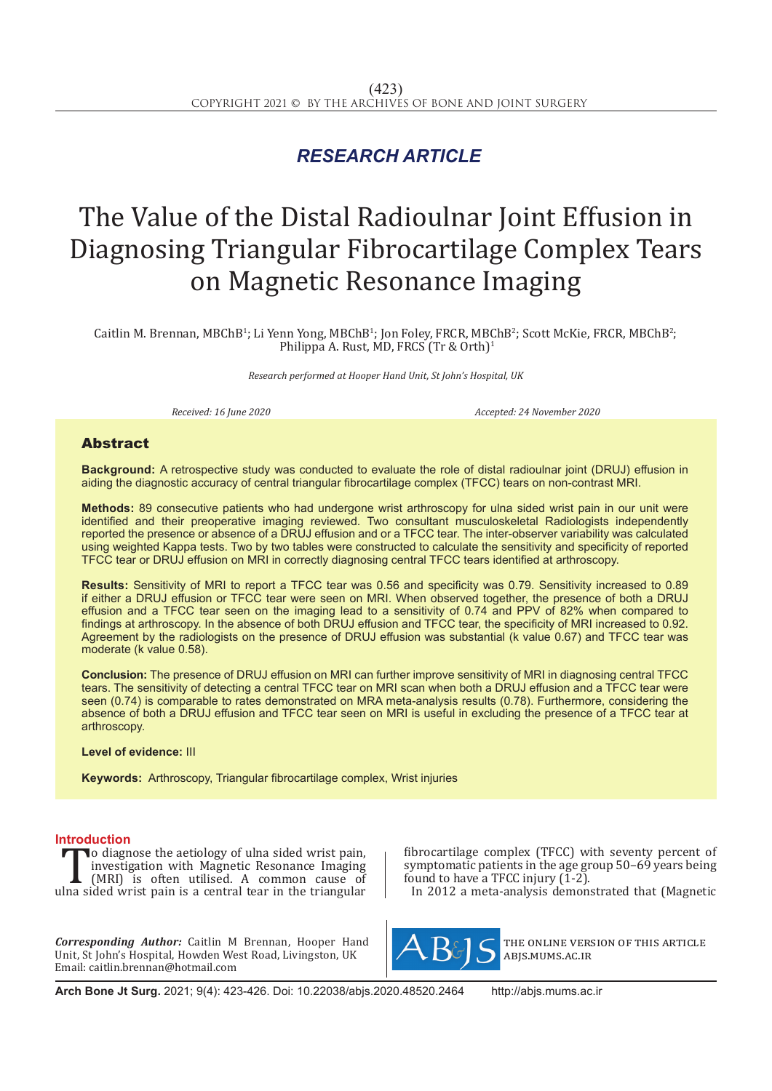## *RESEARCH ARTICLE*

# The Value of the Distal Radioulnar Joint Effusion in Diagnosing Triangular Fibrocartilage Complex Tears on Magnetic Resonance Imaging

Caitlin M. Brennan, MBChB<sup>1</sup>; Li Yenn Yong, MBChB<sup>1</sup>; Jon Foley, FRCR, MBChB<sup>2</sup>; Scott McKie, FRCR, MBChB<sup>2</sup>; Philippa A. Rust, MD, FRCS (Tr & Orth)<sup>1</sup>

*Research performed at Hooper Hand Unit, St John's Hospital, UK*

*Received: 16 June 2020 Accepted: 24 November 2020*

### Abstract

**Background:** A retrospective study was conducted to evaluate the role of distal radioulnar joint (DRUJ) effusion in aiding the diagnostic accuracy of central triangular fibrocartilage complex (TFCC) tears on non-contrast MRI.

**Methods:** 89 consecutive patients who had undergone wrist arthroscopy for ulna sided wrist pain in our unit were identified and their preoperative imaging reviewed. Two consultant musculoskeletal Radiologists independently reported the presence or absence of a DRUJ effusion and or a TFCC tear. The inter-observer variability was calculated using weighted Kappa tests. Two by two tables were constructed to calculate the sensitivity and specificity of reported TFCC tear or DRUJ effusion on MRI in correctly diagnosing central TFCC tears identified at arthroscopy.

**Results:** Sensitivity of MRI to report a TFCC tear was 0.56 and specificity was 0.79. Sensitivity increased to 0.89 if either a DRUJ effusion or TFCC tear were seen on MRI. When observed together, the presence of both a DRUJ effusion and a TFCC tear seen on the imaging lead to a sensitivity of 0.74 and PPV of 82% when compared to findings at arthroscopy. In the absence of both DRUJ effusion and TFCC tear, the specificity of MRI increased to 0.92. Agreement by the radiologists on the presence of DRUJ effusion was substantial (k value 0.67) and TFCC tear was moderate (k value 0.58).

**Conclusion:** The presence of DRUJ effusion on MRI can further improve sensitivity of MRI in diagnosing central TFCC tears. The sensitivity of detecting a central TFCC tear on MRI scan when both a DRUJ effusion and a TFCC tear were seen (0.74) is comparable to rates demonstrated on MRA meta-analysis results (0.78). Furthermore, considering the absence of both a DRUJ effusion and TFCC tear seen on MRI is useful in excluding the presence of a TFCC tear at arthroscopy.

### **Level of evidence:** III

**Keywords:** Arthroscopy, Triangular fibrocartilage complex, Wrist injuries

**Introduction** To diagnose the aetiology of ulna sided wrist pain,<br>
investigation with Magnetic Resonance Imaging<br>
(MRI) is often utilised. A common cause of<br>
ulna sided wrist pain is a central tear in the triangular investigation with Magnetic Resonance Imaging (MRI) is often utilised. A common cause of

*Corresponding Author:* Caitlin M Brennan, Hooper Hand Unit, St John's Hospital, Howden West Road, Livingston, UK Email: caitlin.brennan@hotmail.com

fibrocartilage complex (TFCC) with seventy percent of symptomatic patients in the age group 50–69 years being found to have a TFCC injury (1-2).

In 2012 a meta-analysis demonstrated that (Magnetic



the online version of this article abjs.mums.ac.ir

**Arch Bone Jt Surg.** 2021; 9(4): 423-426. Doi: 10.22038/abjs.2020.48520.2464 http://abjs.mums.ac.ir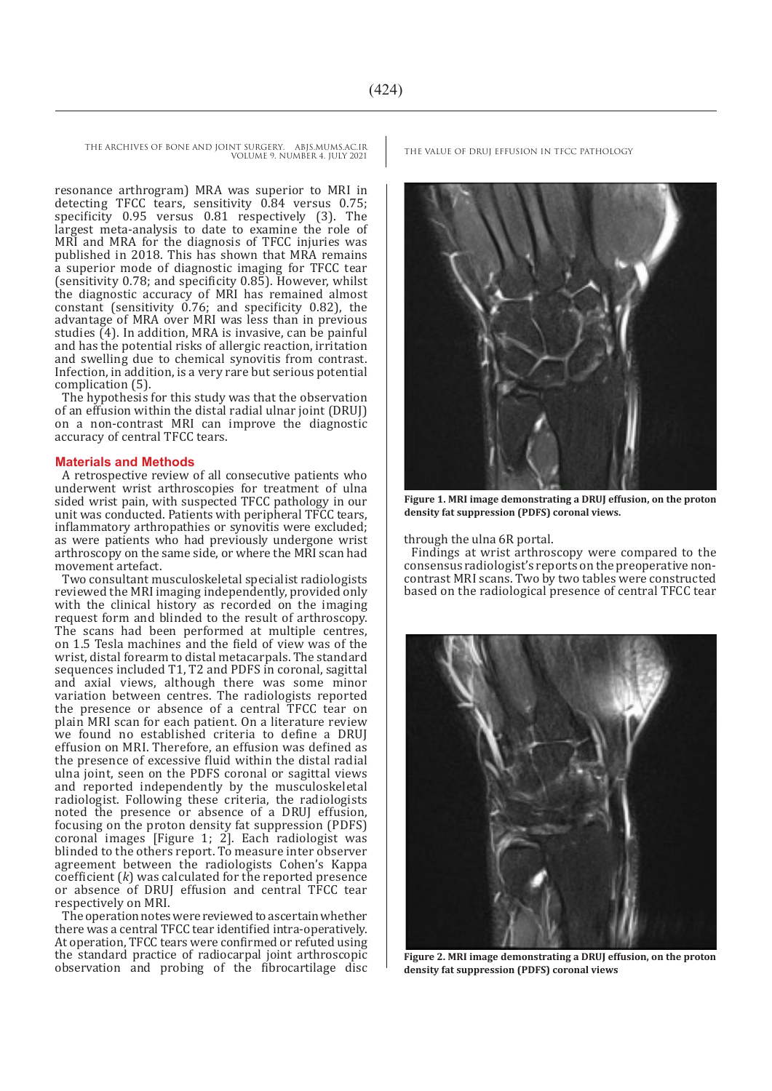THE ARCHIVES OF BONE AND JOINT SURGERY. ABJS.MUMS.AC.IR THE VALUE OF DRUJ EFFUSION IN TFCC PATHOLOGY

VOLUME 9. NUMBER 4. JULY 2021

resonance arthrogram) MRA was superior to MRI in detecting TFCC tears, sensitivity 0.84 versus 0.75; specificity 0.95 versus 0.81 respectively (3). The largest meta-analysis to date to examine the role of MRI and MRA for the diagnosis of TFCC injuries was published in 2018. This has shown that MRA remains a superior mode of diagnostic imaging for TFCC tear (sensitivity 0.78; and specificity 0.85). However, whilst the diagnostic accuracy of MRI has remained almost constant (sensitivity  $0.76$ ; and specificity 0.82), the advantage of MRA over MRI was less than in previous studies  $\overline{4}$ ). In addition, MRA is invasive, can be painful and has the potential risks of allergic reaction, irritation and swelling due to chemical synovitis from contrast. Infection, in addition, is a very rare but serious potential complication (5).

The hypothesis for this study was that the observation of an effusion within the distal radial ulnar joint (DRUJ) on a non-contrast MRI can improve the diagnostic accuracy of central TFCC tears.

### **Materials and Methods**

A retrospective review of all consecutive patients who underwent wrist arthroscopies for treatment of ulna sided wrist pain, with suspected TFCC pathology in our unit was conducted. Patients with peripheral TFCC tears, inflammatory arthropathies or synovitis were excluded; as were patients who had previously undergone wrist arthroscopy on the same side, or where the MRI scan had movement artefact.

Two consultant musculoskeletal specialist radiologists reviewed the MRI imaging independently, provided only with the clinical history as recorded on the imaging request form and blinded to the result of arthroscopy. The scans had been performed at multiple centres, on 1.5 Tesla machines and the field of view was of the wrist, distal forearm to distal metacarpals. The standard sequences included T1, T2 and PDFS in coronal, sagittal and axial views, although there was some minor variation between centres. The radiologists reported the presence or absence of a central TFCC tear on plain MRI scan for each patient. On a literature review we found no established criteria to define a DRUJ effusion on MRI. Therefore, an effusion was defined as the presence of excessive fluid within the distal radial ulna joint, seen on the PDFS coronal or sagittal views and reported independently by the musculoskeletal radiologist. Following these criteria, the radiologists noted the presence or absence of a DRUJ effusion, focusing on the proton density fat suppression (PDFS) coronal images [Figure 1; 2]. Each radiologist was blinded to the others report. To measure inter observer agreement between the radiologists Cohen's Kappa coefficient (*k*) was calculated for the reported presence or absence of DRUJ effusion and central TFCC tear respectively on MRI.

The operation notes were reviewed to ascertain whether there was a central TFCC tear identified intra-operatively. At operation, TFCC tears were confirmed or refuted using the standard practice of radiocarpal joint arthroscopic observation and probing of the fibrocartilage disc



**Figure 1. MRI image demonstrating a DRUJ effusion, on the proton density fat suppression (PDFS) coronal views.**

through the ulna 6R portal.

Findings at wrist arthroscopy were compared to the consensus radiologist's reports on the preoperative noncontrast MRI scans. Two by two tables were constructed based on the radiological presence of central TFCC tear



**Figure 2. MRI image demonstrating a DRUJ effusion, on the proton density fat suppression (PDFS) coronal views**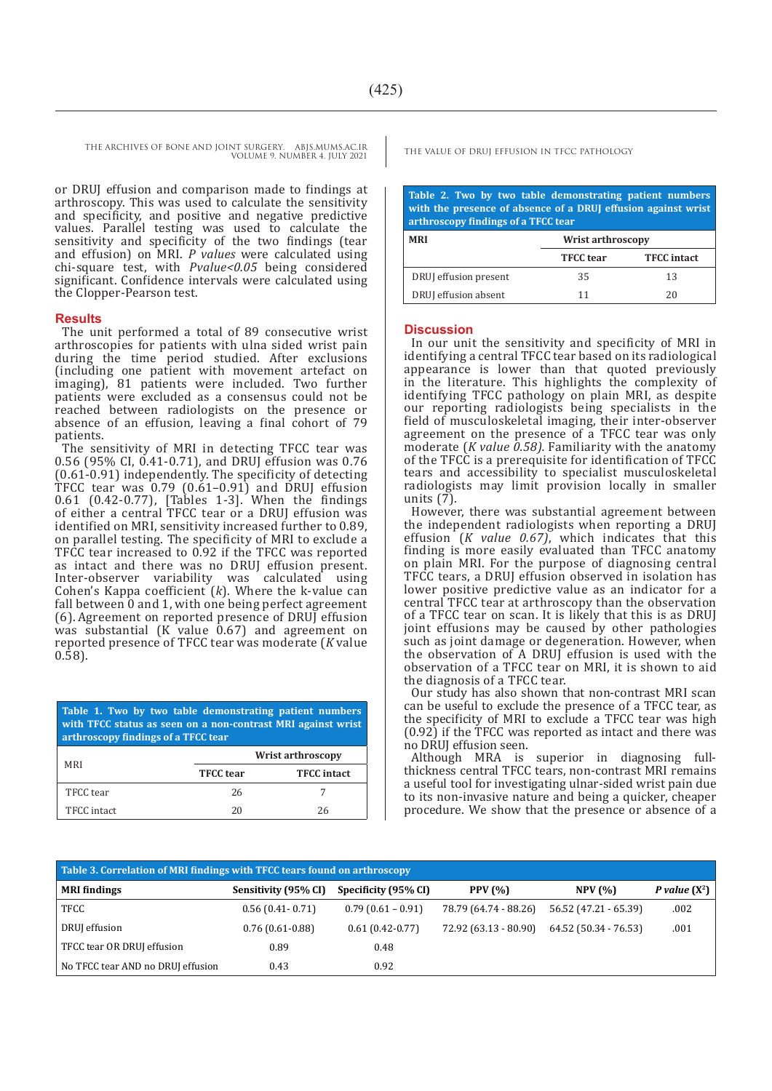THE ARCHIVES OF BONE AND JOINT SURGERY. ABJS.MUMS.AC.IR THE VALUE OF DRUJ EFFUSION IN TFCC PATHOLOGY VOLUME 9. NUMBER 4. JULY 2021

or DRUJ effusion and comparison made to findings at arthroscopy. This was used to calculate the sensitivity and specificity, and positive and negative predictive values. Parallel testing was used to calculate the sensitivity and specificity of the two findings (tear and effusion) on MRI. *P values* were calculated using chi-square test, with *Pvalue<0.05* being considered significant. Confidence intervals were calculated using the Clopper-Pearson test.

### **Results**

The unit performed a total of 89 consecutive wrist arthroscopies for patients with ulna sided wrist pain during the time period studied. After exclusions (including one patient with movement artefact on imaging), 81 patients were included. Two further patients were excluded as a consensus could not be reached between radiologists on the presence or absence of an effusion, leaving a final cohort of 79 patients.

The sensitivity of MRI in detecting TFCC tear was 0.56 (95% CI, 0.41-0.71), and DRUJ effusion was 0.76 (0.61-0.91) independently. The specificity of detecting  $\texttt{TFCC}$  tear was 0.79 (0.61-0.91) and DRUJ effusion 0.61 (0.42-0.77), [Tables 1-3]. When the findings of either a central TFCC tear or a DRUJ effusion was identified on MRI, sensitivity increased further to 0.89, on parallel testing. The specificity of MRI to exclude a TFCC tear increased to 0.92 if the TFCC was reported as intact and there was no DRUJ effusion present. Inter-observer variability was calculated using Cohen's Kappa coefficient (*k*). Where the k-value can fall between 0 and 1, with one being perfect agreement (6). Agreement on reported presence of DRUJ effusion was substantial  $(K \nu)$  value 0.67) and agreement on reported presence of TFCC tear was moderate (*K* value 0.58).

**Table 1. Two by two table demonstrating patient numbers with TFCC status as seen on a non-contrast MRI against wrist arthroscopy findings of a TFCC tear**

| MRI         | <b>Wrist arthroscopy</b> |                    |  |
|-------------|--------------------------|--------------------|--|
|             | <b>TFCC</b> tear         | <b>TFCC</b> intact |  |
| TFCC tear   | 26                       |                    |  |
| TFCC intact | 20                       | 26                 |  |

**Table 2. Two by two table demonstrating patient numbers with the presence of absence of a DRUJ effusion against wrist arthroscopy findings of a TFCC tear**

| <b>MRI</b>            | Wrist arthroscopy |                    |  |  |  |
|-----------------------|-------------------|--------------------|--|--|--|
|                       | <b>TFCC</b> tear  | <b>TFCC</b> intact |  |  |  |
| DRUJ effusion present | 35                | 13                 |  |  |  |
| DRUJ effusion absent  | 11                | 20                 |  |  |  |

### **Discussion**

In our unit the sensitivity and specificity of MRI in identifying a central TFCC tear based on its radiological appearance is lower than that quoted previously in the literature. This highlights the complexity of identifying TFCC pathology on plain MRI, as despite our reporting radiologists being specialists in the field of musculoskeletal imaging, their inter-observer agreement on the presence of a TFCC tear was only moderate (*K value 0.58).* Familiarity with the anatomy of the TFCC is a prerequisite for identification of TFCC tears and accessibility to specialist musculoskeletal radiologists may limit provision locally in smaller units (7).

However, there was substantial agreement between the independent radiologists when reporting a DRUJ effusion (*K value 0.67)*, which indicates that this finding is more easily evaluated than TFCC anatomy on plain MRI. For the purpose of diagnosing central TFCC tears, a DRUJ effusion observed in isolation has lower positive predictive value as an indicator for a central TFCC tear at arthroscopy than the observation of a TFCC tear on scan. It is likely that this is as DRUJ joint effusions may be caused by other pathologies such as joint damage or degeneration. However, when the observation of A DRUJ effusion is used with the observation of a TFCC tear on MRI, it is shown to aid the diagnosis of a TFCC tear.

Our study has also shown that non-contrast MRI scan can be useful to exclude the presence of a TFCC tear, as the specificity of MRI to exclude a TFCC tear was high (0.92) if the TFCC was reported as intact and there was no DRUJ effusion seen.

Although MRA is superior in diagnosing fullthickness central TFCC tears, non-contrast MRI remains a useful tool for investigating ulnar-sided wrist pain due to its non-invasive nature and being a quicker, cheaper procedure. We show that the presence or absence of a

| Table 3. Correlation of MRI findings with TFCC tears found on arthroscopy |                      |                      |                       |                       |                        |  |  |  |
|---------------------------------------------------------------------------|----------------------|----------------------|-----------------------|-----------------------|------------------------|--|--|--|
| <b>MRI</b> findings                                                       | Sensitivity (95% CI) | Specificity (95% CI) | <b>PPV</b> (%)        | NPV(%)                | <i>P</i> value $(X^2)$ |  |  |  |
| TFCC                                                                      | $0.56(0.41-0.71)$    | $0.79(0.61 - 0.91)$  | 78.79 (64.74 - 88.26) | 56.52 (47.21 - 65.39) | .002                   |  |  |  |
| DRUJ effusion                                                             | $0.76(0.61-0.88)$    | $0.61(0.42-0.77)$    | 72.92 (63.13 - 80.90) | 64.52 (50.34 - 76.53) | .001                   |  |  |  |
| TFCC tear OR DRUJ effusion                                                | 0.89                 | 0.48                 |                       |                       |                        |  |  |  |
| No TFCC tear AND no DRUJ effusion                                         | 0.43                 | 0.92                 |                       |                       |                        |  |  |  |